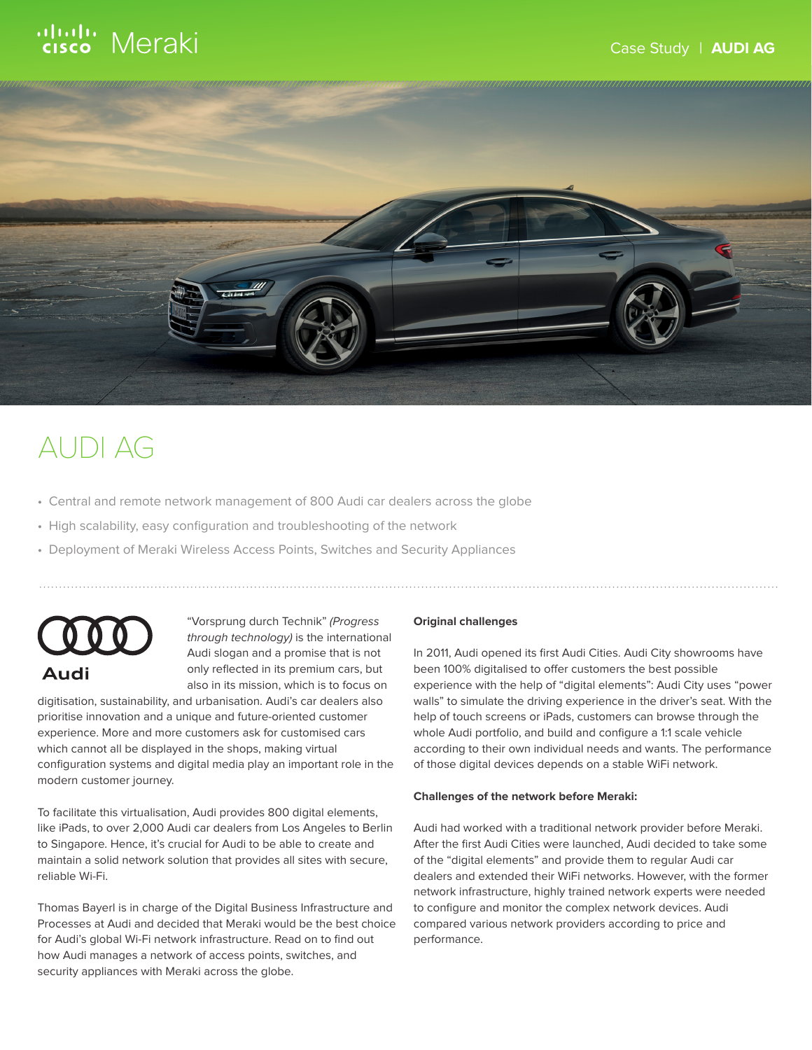# ululu Meraki



## AUDI AG

- Central and remote network management of 800 Audi car dealers across the globe
- High scalability, easy configuration and troubleshooting of the network
- Deployment of Meraki Wireless Access Points, Switches and Security Appliances



"Vorsprung durch Technik" (Progress through technology) is the international Audi slogan and a promise that is not only reflected in its premium cars, but also in its mission, which is to focus on

digitisation, sustainability, and urbanisation. Audi's car dealers also prioritise innovation and a unique and future-oriented customer experience. More and more customers ask for customised cars which cannot all be displayed in the shops, making virtual configuration systems and digital media play an important role in the modern customer journey.

To facilitate this virtualisation, Audi provides 800 digital elements, like iPads, to over 2,000 Audi car dealers from Los Angeles to Berlin to Singapore. Hence, it's crucial for Audi to be able to create and maintain a solid network solution that provides all sites with secure, reliable Wi-Fi.

Thomas Bayerl is in charge of the Digital Business Infrastructure and Processes at Audi and decided that Meraki would be the best choice for Audi's global Wi-Fi network infrastructure. Read on to find out how Audi manages a network of access points, switches, and security appliances with Meraki across the globe.

### **Original challenges**

In 2011, Audi opened its first Audi Cities. Audi City showrooms have been 100% digitalised to offer customers the best possible experience with the help of "digital elements": Audi City uses "power walls" to simulate the driving experience in the driver's seat. With the help of touch screens or iPads, customers can browse through the whole Audi portfolio, and build and configure a 1:1 scale vehicle according to their own individual needs and wants. The performance of those digital devices depends on a stable WiFi network.

#### **Challenges of the network before Meraki:**

Audi had worked with a traditional network provider before Meraki. After the first Audi Cities were launched, Audi decided to take some of the "digital elements" and provide them to regular Audi car dealers and extended their WiFi networks. However, with the former network infrastructure, highly trained network experts were needed to configure and monitor the complex network devices. Audi compared various network providers according to price and performance.